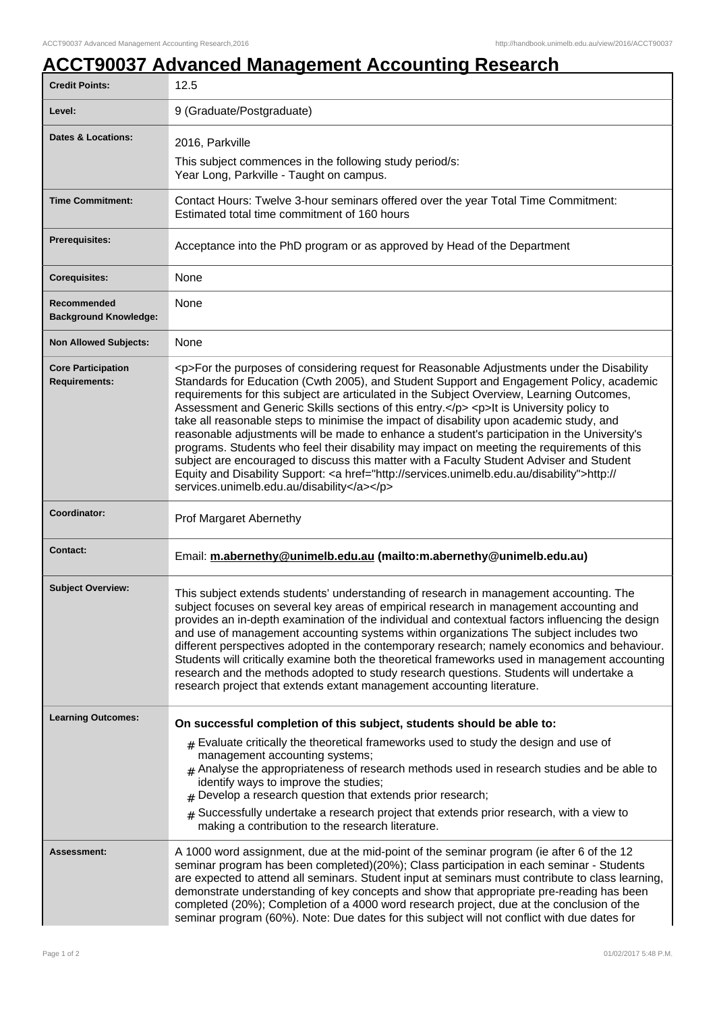## **ACCT90037 Advanced Management Accounting Research**

| <b>Credit Points:</b>                             | 12.5                                                                                                                                                                                                                                                                                                                                                                                                                                                                                                                                                                                                                                                                                                                                                                                                                                                                                                                         |
|---------------------------------------------------|------------------------------------------------------------------------------------------------------------------------------------------------------------------------------------------------------------------------------------------------------------------------------------------------------------------------------------------------------------------------------------------------------------------------------------------------------------------------------------------------------------------------------------------------------------------------------------------------------------------------------------------------------------------------------------------------------------------------------------------------------------------------------------------------------------------------------------------------------------------------------------------------------------------------------|
| Level:                                            | 9 (Graduate/Postgraduate)                                                                                                                                                                                                                                                                                                                                                                                                                                                                                                                                                                                                                                                                                                                                                                                                                                                                                                    |
| Dates & Locations:                                | 2016, Parkville                                                                                                                                                                                                                                                                                                                                                                                                                                                                                                                                                                                                                                                                                                                                                                                                                                                                                                              |
|                                                   | This subject commences in the following study period/s:<br>Year Long, Parkville - Taught on campus.                                                                                                                                                                                                                                                                                                                                                                                                                                                                                                                                                                                                                                                                                                                                                                                                                          |
| <b>Time Commitment:</b>                           | Contact Hours: Twelve 3-hour seminars offered over the year Total Time Commitment:<br>Estimated total time commitment of 160 hours                                                                                                                                                                                                                                                                                                                                                                                                                                                                                                                                                                                                                                                                                                                                                                                           |
| <b>Prerequisites:</b>                             | Acceptance into the PhD program or as approved by Head of the Department                                                                                                                                                                                                                                                                                                                                                                                                                                                                                                                                                                                                                                                                                                                                                                                                                                                     |
| <b>Corequisites:</b>                              | None                                                                                                                                                                                                                                                                                                                                                                                                                                                                                                                                                                                                                                                                                                                                                                                                                                                                                                                         |
| Recommended<br><b>Background Knowledge:</b>       | None                                                                                                                                                                                                                                                                                                                                                                                                                                                                                                                                                                                                                                                                                                                                                                                                                                                                                                                         |
| <b>Non Allowed Subjects:</b>                      | None                                                                                                                                                                                                                                                                                                                                                                                                                                                                                                                                                                                                                                                                                                                                                                                                                                                                                                                         |
| <b>Core Participation</b><br><b>Requirements:</b> | <p>For the purposes of considering request for Reasonable Adjustments under the Disability<br/>Standards for Education (Cwth 2005), and Student Support and Engagement Policy, academic<br/>requirements for this subject are articulated in the Subject Overview, Learning Outcomes,<br/>Assessment and Generic Skills sections of this entry.</p> <p>lt is University policy to<br/>take all reasonable steps to minimise the impact of disability upon academic study, and<br/>reasonable adjustments will be made to enhance a student's participation in the University's<br/>programs. Students who feel their disability may impact on meeting the requirements of this<br/>subject are encouraged to discuss this matter with a Faculty Student Adviser and Student<br/>Equity and Disability Support: &lt; a href="http://services.unimelb.edu.au/disability"&gt;http://<br/>services.unimelb.edu.au/disability</p> |
| Coordinator:                                      | Prof Margaret Abernethy                                                                                                                                                                                                                                                                                                                                                                                                                                                                                                                                                                                                                                                                                                                                                                                                                                                                                                      |
| <b>Contact:</b>                                   | Email: m.abernethy@unimelb.edu.au (mailto:m.abernethy@unimelb.edu.au)                                                                                                                                                                                                                                                                                                                                                                                                                                                                                                                                                                                                                                                                                                                                                                                                                                                        |
| <b>Subject Overview:</b>                          | This subject extends students' understanding of research in management accounting. The<br>subject focuses on several key areas of empirical research in management accounting and<br>provides an in-depth examination of the individual and contextual factors influencing the design<br>and use of management accounting systems within organizations The subject includes two<br>different perspectives adopted in the contemporary research; namely economics and behaviour.<br>Students will critically examine both the theoretical frameworks used in management accounting<br>research and the methods adopted to study research questions. Students will undertake a<br>research project that extends extant management accounting literature.                                                                                                                                                                       |
| <b>Learning Outcomes:</b>                         | On successful completion of this subject, students should be able to:                                                                                                                                                                                                                                                                                                                                                                                                                                                                                                                                                                                                                                                                                                                                                                                                                                                        |
|                                                   | $_{\#}$ Evaluate critically the theoretical frameworks used to study the design and use of<br>management accounting systems;<br>$_{\#}$ Analyse the appropriateness of research methods used in research studies and be able to<br>identify ways to improve the studies;<br>$#$ Develop a research question that extends prior research;                                                                                                                                                                                                                                                                                                                                                                                                                                                                                                                                                                                     |
|                                                   | Successfully undertake a research project that extends prior research, with a view to<br>$\pm$<br>making a contribution to the research literature.                                                                                                                                                                                                                                                                                                                                                                                                                                                                                                                                                                                                                                                                                                                                                                          |